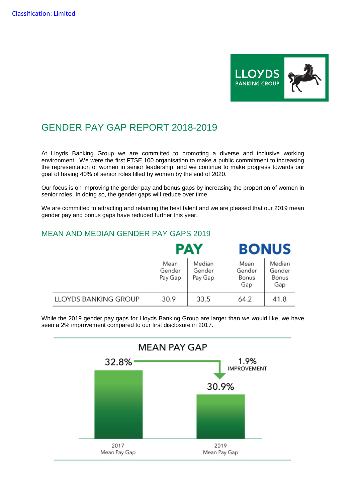

## GENDER PAY GAP REPORT 2018-2019

At Lloyds Banking Group we are committed to promoting a diverse and inclusive working environment. We were the first FTSE 100 organisation to make a public commitment to increasing the representation of women in senior leadership, and we continue to make progress towards our goal of having 40% of senior roles filled by women by the end of 2020.

Our focus is on improving the gender pay and bonus gaps by increasing the proportion of women in senior roles. In doing so, the gender gaps will reduce over time.

We are committed to attracting and retaining the best talent and we are pleased that our 2019 mean gender pay and bonus gaps have reduced further this year.

**A 3.4** 

## MEAN AND MEDIAN GENDER PAY GAPS 2019

|                      |                           | PAY                         | BONUS                          |                                  |  |  |  |
|----------------------|---------------------------|-----------------------------|--------------------------------|----------------------------------|--|--|--|
|                      | Mean<br>Gender<br>Pay Gap | Median<br>Gender<br>Pay Gap | Mean<br>Gender<br>Bonus<br>Gap | Median<br>Gender<br>Bonus<br>Gap |  |  |  |
| LLOYDS BANKING GROUP | 30.9                      | 33.5                        | 64.2                           | 41.8                             |  |  |  |

While the 2019 gender pay gaps for Lloyds Banking Group are larger than we would like, we have seen a 2% improvement compared to our first disclosure in 2017.

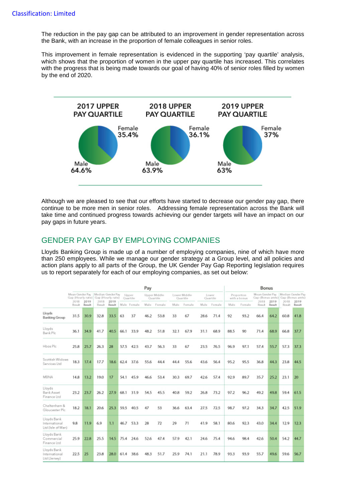The reduction in the pay gap can be attributed to an improvement in gender representation across the Bank, with an increase in the proportion of female colleagues in senior roles.

This improvement in female representation is evidenced in the supporting 'pay quartile' analysis, which shows that the proportion of women in the upper pay quartile has increased. This correlates with the progress that is being made towards our goal of having 40% of senior roles filled by women by the end of 2020.



Although we are pleased to see that our efforts have started to decrease our gender pay gap, there continue to be more men in senior roles. Addressing female representation across the Bank will take time and continued progress towards achieving our gender targets will have an impact on our pay gaps in future years.

## GENDER PAY GAP BY EMPLOYING COMPANIES

Lloyds Banking Group is made up of a number of employing companies, nine of which have more than 250 employees. While we manage our gender strategy at a Group level, and all policies and action plans apply to all parts of the Group, the UK Gender Pay Gap Reporting legislation requires us to report separately for each of our employing companies, as set out below:

|                                                   |                                                          | Pay                       |               |                    |      |                          |      |                          |      | Bonus              |      |                            |      |                                 |             |                                                                |        |                |
|---------------------------------------------------|----------------------------------------------------------|---------------------------|---------------|--------------------|------|--------------------------|------|--------------------------|------|--------------------|------|----------------------------|------|---------------------------------|-------------|----------------------------------------------------------------|--------|----------------|
|                                                   | Mean Gender Pay<br>Gap (Hourly rate)   Gap (Hourly rate) | Median Gender Pay<br>2018 | 2019          | Upper<br>Quartille |      | Upper Middle<br>Quartile |      | Lower Middle<br>Quartile |      | Lower<br>Quartille |      | Proportion<br>with a bonus |      | Mean Gender Pay<br>2018<br>2019 |             | Median Gender Pay<br>Gap (Bonus amts) Gap (Bonus amts)<br>2018 |        |                |
|                                                   | Result.                                                  | 2019<br>2018<br>Result    | <b>Result</b> | Result             |      | Male Female              | Male | Female                   | Male | Female             |      | Male Female                | Malo | Female                          | Renualt:    | Result                                                         | Result | 2019<br>Result |
| Lloyds<br><b>Banking Group</b>                    | 31.5                                                     | 30.9                      | 32.8          | 33.5               | 63   | 37                       | 46.2 | 53.8                     | 33   | 67                 | 28.6 | 71.4                       | 92   | 93.2                            | 66.4        | 64.2                                                           | 60.8   | 41.8           |
| Llayds<br>Bank Plc                                | 36.1                                                     | 34.9                      | 41.7          | 40.5               | 66.1 | 33.9                     | 48.2 | 51.8                     | 32.1 | 67.9               | 31.1 | 68.9                       | 88.5 | 90                              | <b>71.4</b> | 68.9                                                           | 66.8   | 37.7           |
| Hbos Plc                                          | 25.8                                                     | 25.7                      | 26.3          | 28                 | 57.5 | 42.5                     | 43.7 | 56.3                     | 33   | 67                 | 23.5 | 76.5                       | 96.9 | 97.1                            | 57.4        | 55.7                                                           | 57.3   | 37.3           |
| Scottish Widows<br>Services Ltd                   | 18.3                                                     | 17.4                      | 17.7          | 18.6               | 62.4 | 37.6                     | 55.6 | 44.4                     | 44.4 | 55.6               | 43.6 | 56.4                       | 95.2 | 95.5                            | 36.8        | 44.3                                                           | 23.8   | 44.5           |
| <b>MBNA</b>                                       | 14.8                                                     | 13.2                      | 19.0          | 17                 | 54.1 | 45.9                     | 46.6 | 53.4                     | 30.3 | 69.7               | 42.6 | 57.4                       | 92.9 | 89.7                            | 35.7        | 25.2                                                           | 23.1   | 20             |
| Llayds<br>Bank Asset<br>Finance Ltd               | 23.2                                                     | 23.7                      | 26.2          | 27.9               | 68.1 | 31.9                     | 54.5 | 45.5                     | 40.8 | 59.2               | 26.8 | 73.2                       | 97.2 | 96.2                            | 49.2        | 49.8                                                           | 59.4   | 61.5           |
| Cheltenham &<br>Gloucester Plc                    | 18.2                                                     | 18.1                      | 20.6          | 25.3               | 59.5 | 40.5                     | 47   | 53                       | 36.6 | 63.4               | 27.5 | 72.5                       | 98.7 | 97.2                            | 34.3        | 34.7                                                           | 42.5   | 51.9           |
| Llayds Bank<br>International<br>Ltd (Isle of Man) | 9.8                                                      | 11.9                      | 6.9           | 1.1                | 46.7 | 53.3                     | 28   | 72                       | 29   | 71                 | 41.9 | 58.1                       | 80.6 | 92.3                            | 43.0        | 34.4                                                           | 12.9   | 12.3           |
| Lloyds Bank<br>Commercial<br>Finance Ltd          | 25.9                                                     | 22.8                      | 25.5          | 14.5               | 75.4 | 24.6                     | 52.6 | 47.4                     | 57.9 | 42.1               | 24.6 | 75.4                       | 94.6 | 98.4                            | 42.6        | 50.4                                                           | 54.2   | 44.7           |
| Lloyds Bank<br>International<br>Ltd [Jersey]      | 22.5                                                     | 25                        | 23.8          | 28.0               | 61.4 | 38.6                     | 48.3 | 51.7                     | 25.9 | 74.1               | 21.1 | 78.9                       | 93.3 | 93.9                            | 55.7        | 49.6                                                           | 59.6   | 56.7           |